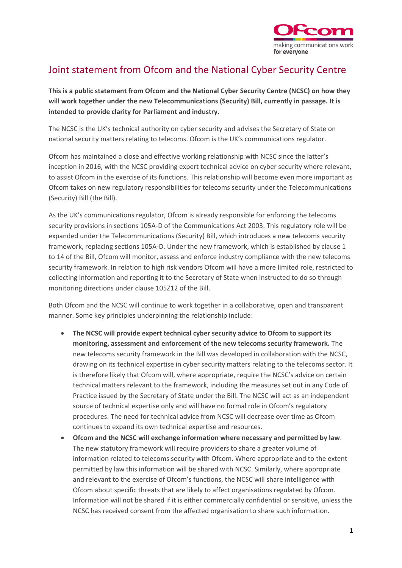

## Joint statement from Ofcom and the National Cyber Security Centre

**This is a public statement from Ofcom and the National Cyber Security Centre (NCSC) on how they will work together under the new Telecommunications (Security) Bill, currently in passage. It is intended to provide clarity for Parliament and industry.**

The NCSC is the UK's technical authority on cyber security and advises the Secretary of State on national security matters relating to telecoms. Ofcom is the UK's communications regulator.

Ofcom has maintained a close and effective working relationship with NCSC since the latter's inception in 2016, with the NCSC providing expert technical advice on cyber security where relevant, to assist Ofcom in the exercise of its functions. This relationship will become even more important as Ofcom takes on new regulatory responsibilities for telecoms security under the Telecommunications (Security) Bill (the Bill).

As the UK's communications regulator, Ofcom is already responsible for enforcing the telecoms security provisions in sections 105A-D of the Communications Act 2003. This regulatory role will be expanded under the Telecommunications (Security) Bill, which introduces a new telecoms security framework, replacing sections 105A-D. Under the new framework, which is established by clause 1 to 14 of the Bill, Ofcom will monitor, assess and enforce industry compliance with the new telecoms security framework. In relation to high risk vendors Ofcom will have a more limited role, restricted to collecting information and reporting it to the Secretary of State when instructed to do so through monitoring directions under clause 105Z12 of the Bill.

Both Ofcom and the NCSC will continue to work together in a collaborative, open and transparent manner. Some key principles underpinning the relationship include:

- **The NCSC will provide expert technical cyber security advice to Ofcom to support its monitoring, assessment and enforcement of the new telecoms security framework.** The new telecoms security framework in the Bill was developed in collaboration with the NCSC, drawing on its technical expertise in cyber security matters relating to the telecoms sector. It is therefore likely that Ofcom will, where appropriate, require the NCSC's advice on certain technical matters relevant to the framework, including the measures set out in any Code of Practice issued by the Secretary of State under the Bill. The NCSC will act as an independent source of technical expertise only and will have no formal role in Ofcom's regulatory procedures. The need for technical advice from NCSC will decrease over time as Ofcom continues to expand its own technical expertise and resources.
- **Ofcom and the NCSC will exchange information where necessary and permitted by law**. The new statutory framework will require providers to share a greater volume of information related to telecoms security with Ofcom. Where appropriate and to the extent permitted by law this information will be shared with NCSC. Similarly, where appropriate and relevant to the exercise of Ofcom's functions, the NCSC will share intelligence with Ofcom about specific threats that are likely to affect organisations regulated by Ofcom. Information will not be shared if it is either commercially confidential or sensitive, unless the NCSC has received consent from the affected organisation to share such information.